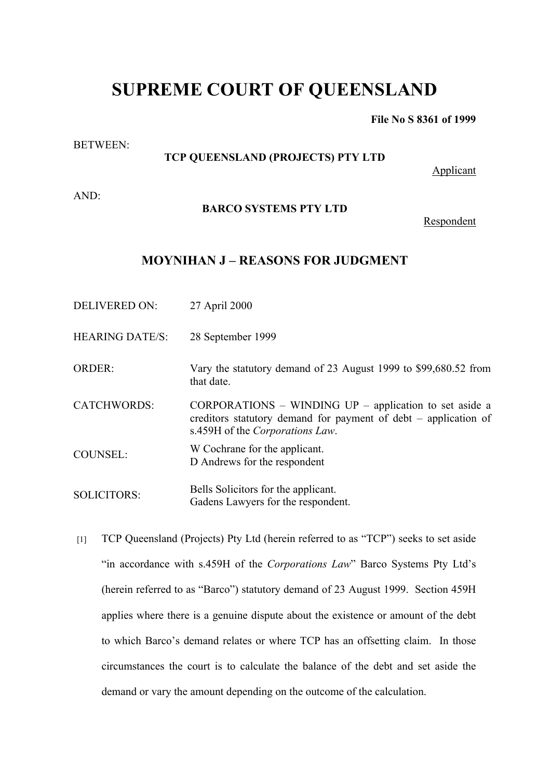# **SUPREME COURT OF QUEENSLAND**

**File No S 8361 of 1999**

#### BETWEEN:

## **TCP QUEENSLAND (PROJECTS) PTY LTD**

Applicant

AND:

#### **BARCO SYSTEMS PTY LTD**

Respondent

### **MOYNIHAN J – REASONS FOR JUDGMENT**

DELIVERED ON: 27 April 2000

HEARING DATE/S: 28 September 1999

ORDER: Vary the statutory demand of 23 August 1999 to \$99,680.52 from that date.

CATCHWORDS: CORPORATIONS – WINDING UP – application to set aside a creditors statutory demand for payment of debt – application of s.459H of the *Corporations Law*.

COUNSEL: W Cochrane for the applicant. D Andrews for the respondent

SOLICITORS: Bells Solicitors for the applicant. Gadens Lawyers for the respondent.

[1] TCP Queensland (Projects) Pty Ltd (herein referred to as "TCP") seeks to set aside "in accordance with s.459H of the *Corporations Law*" Barco Systems Pty Ltd's (herein referred to as "Barco") statutory demand of 23 August 1999. Section 459H applies where there is a genuine dispute about the existence or amount of the debt to which Barco's demand relates or where TCP has an offsetting claim. In those circumstances the court is to calculate the balance of the debt and set aside the demand or vary the amount depending on the outcome of the calculation.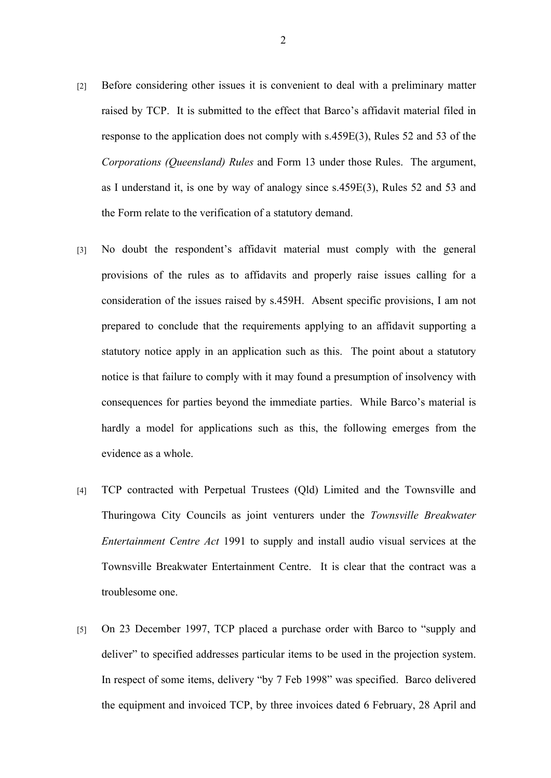- [2] Before considering other issues it is convenient to deal with a preliminary matter raised by TCP. It is submitted to the effect that Barco's affidavit material filed in response to the application does not comply with s.459E(3), Rules 52 and 53 of the *Corporations (Queensland) Rules* and Form 13 under those Rules. The argument, as I understand it, is one by way of analogy since s.459E(3), Rules 52 and 53 and the Form relate to the verification of a statutory demand.
- [3] No doubt the respondent's affidavit material must comply with the general provisions of the rules as to affidavits and properly raise issues calling for a consideration of the issues raised by s.459H. Absent specific provisions, I am not prepared to conclude that the requirements applying to an affidavit supporting a statutory notice apply in an application such as this. The point about a statutory notice is that failure to comply with it may found a presumption of insolvency with consequences for parties beyond the immediate parties. While Barco's material is hardly a model for applications such as this, the following emerges from the evidence as a whole.
- [4] TCP contracted with Perpetual Trustees (Qld) Limited and the Townsville and Thuringowa City Councils as joint venturers under the *Townsville Breakwater Entertainment Centre Act* 1991 to supply and install audio visual services at the Townsville Breakwater Entertainment Centre. It is clear that the contract was a troublesome one.
- [5] On 23 December 1997, TCP placed a purchase order with Barco to "supply and deliver" to specified addresses particular items to be used in the projection system. In respect of some items, delivery "by 7 Feb 1998" was specified. Barco delivered the equipment and invoiced TCP, by three invoices dated 6 February, 28 April and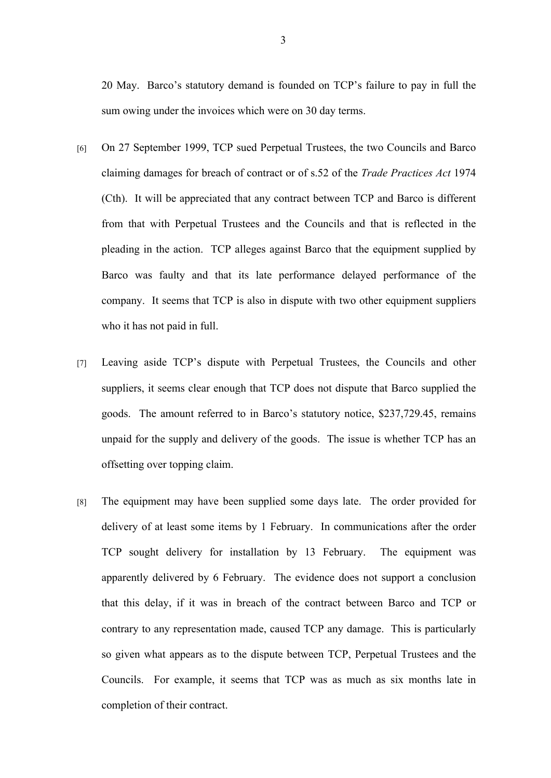20 May. Barco's statutory demand is founded on TCP's failure to pay in full the sum owing under the invoices which were on 30 day terms.

- [6] On 27 September 1999, TCP sued Perpetual Trustees, the two Councils and Barco claiming damages for breach of contract or of s.52 of the *Trade Practices Act* 1974 (Cth). It will be appreciated that any contract between TCP and Barco is different from that with Perpetual Trustees and the Councils and that is reflected in the pleading in the action. TCP alleges against Barco that the equipment supplied by Barco was faulty and that its late performance delayed performance of the company. It seems that TCP is also in dispute with two other equipment suppliers who it has not paid in full.
- [7] Leaving aside TCP's dispute with Perpetual Trustees, the Councils and other suppliers, it seems clear enough that TCP does not dispute that Barco supplied the goods. The amount referred to in Barco's statutory notice, \$237,729.45, remains unpaid for the supply and delivery of the goods. The issue is whether TCP has an offsetting over topping claim.
- [8] The equipment may have been supplied some days late. The order provided for delivery of at least some items by 1 February. In communications after the order TCP sought delivery for installation by 13 February. The equipment was apparently delivered by 6 February. The evidence does not support a conclusion that this delay, if it was in breach of the contract between Barco and TCP or contrary to any representation made, caused TCP any damage. This is particularly so given what appears as to the dispute between TCP, Perpetual Trustees and the Councils. For example, it seems that TCP was as much as six months late in completion of their contract.